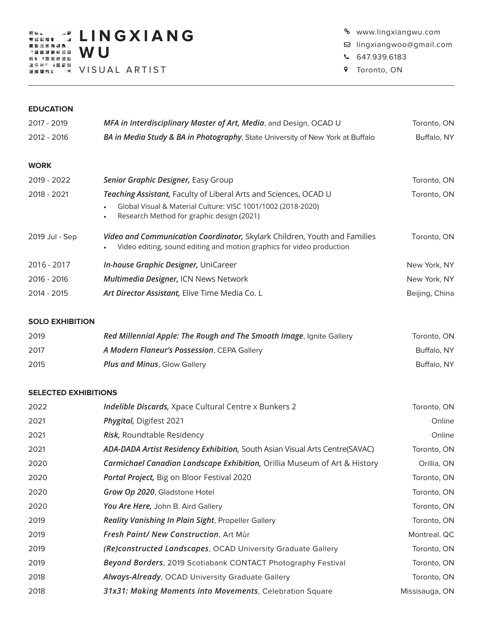**L I N G X I A N G W U**

VISUAL ARTIST

- www.lingxiangwu.com
- lingxiangwoo@gmail.com
- 647.939.6183
- **9** Toronto, ON

### **EDUCATION**

| 2017 - 2019    | MFA in Interdisciplinary Master of Art, Media, and Design, OCAD U                                                                                  | Toronto, ON    |
|----------------|----------------------------------------------------------------------------------------------------------------------------------------------------|----------------|
| 2012 - 2016    | BA in Media Study & BA in Photography, State University of New York at Buffalo                                                                     | Buffalo, NY    |
|                |                                                                                                                                                    |                |
| <b>WORK</b>    |                                                                                                                                                    |                |
| 2019 - 2022    | Senior Graphic Designer, Easy Group                                                                                                                | Toronto, ON    |
| 2018 - 2021    | Teaching Assistant, Faculty of Liberal Arts and Sciences, OCAD U                                                                                   | Toronto, ON    |
|                | Global Visual & Material Culture: VISC 1001/1002 (2018-2020)<br>Research Method for graphic design (2021)<br>$\bullet$                             |                |
| 2019 Jul - Sep | Video and Communication Coordinator, Skylark Children, Youth and Families<br>Video editing, sound editing and motion graphics for video production | Toronto, ON    |
| 2016 - 2017    | In-house Graphic Designer, UniCareer                                                                                                               | New York, NY   |
| 2016 - 2016    | <b>Multimedia Designer, ICN News Network</b>                                                                                                       | New York, NY   |
| 2014 - 2015    | Art Director Assistant, Elive Time Media Co. L                                                                                                     | Beijing, China |
|                |                                                                                                                                                    |                |

# **SOLO EXHIBITION**

| 2019 | Red Millennial Apple: The Rough and The Smooth Image, Ignite Gallery | Toronto, ON |
|------|----------------------------------------------------------------------|-------------|
| 2017 | A Modern Flaneur's Possession, CEPA Gallery                          | Buffalo, NY |
| 2015 | <b>Plus and Minus, Glow Gallery</b>                                  | Buffalo, NY |

### **SELECTED EXHIBITIONS**

| 2022 | Indelible Discards, Xpace Cultural Centre x Bunkers 2                       | Toronto, ON    |
|------|-----------------------------------------------------------------------------|----------------|
| 2021 | Phygital, Digifest 2021                                                     | Online         |
| 2021 | Risk, Roundtable Residency                                                  | Online         |
| 2021 | ADA-DADA Artist Residency Exhibition, South Asian Visual Arts Centre(SAVAC) | Toronto, ON    |
| 2020 | Carmichael Canadian Landscape Exhibition, Orillia Museum of Art & History   | Orillia, ON    |
| 2020 | Portal Project, Big on Bloor Festival 2020                                  | Toronto, ON    |
| 2020 | Grow Op 2020, Gladstone Hotel                                               | Toronto, ON    |
| 2020 | You Are Here, John B. Aird Gallery                                          | Toronto, ON    |
| 2019 | Reality Vanishing In Plain Sight, Propeller Gallery                         | Toronto, ON    |
| 2019 | Fresh Paint/ New Construction, Art Mûr                                      | Montreal. QC   |
| 2019 | (Re)constructed Landscapes, OCAD University Graduate Gallery                | Toronto, ON    |
| 2019 | Beyond Borders, 2019 Scotiabank CONTACT Photography Festival                | Toronto, ON    |
| 2018 | Always-Already, OCAD University Graduate Gallery                            | Toronto, ON    |
| 2018 | 31x31: Making Moments into Movements, Celebration Square                    | Missisauga, ON |